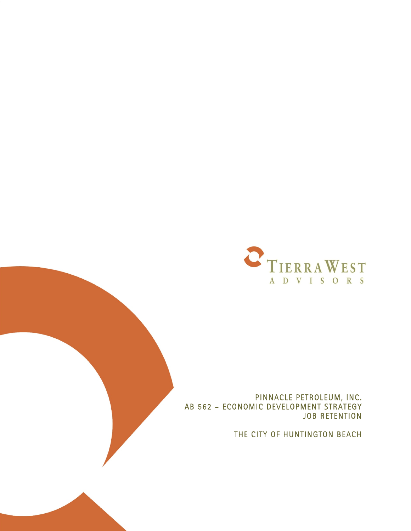

PINNACLE PETROLEUM, INC. AB 562 – ECONOMIC DEVELOPMENT STRATEGY JOB RETENTION

THE CITY OF HUNTINGTON BEACH

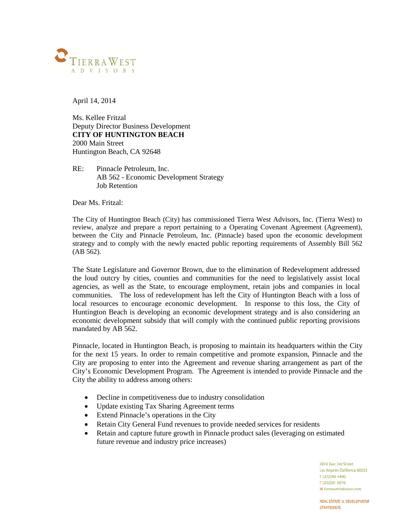

April 14, 2014

Ms. Kellee Fritzal Deputy Director Business Development **CITY OF HUNTINGTON BEACH** 2000 Main Street Huntington Beach, CA 92648

RE: Pinnacle Petroleum, Inc. AB 562 - Economic Development Strategy Job Retention

Dear Ms. Fritzal:

The City of Huntington Beach (City) has commissioned Tierra West Advisors, Inc. (Tierra West) to review, analyze and prepare a report pertaining to a Operating Covenant Agreement (Agreement), between the City and Pinnacle Petroleum, Inc. (Pinnacle) based upon the economic development strategy and to comply with the newly enacted public reporting requirements of Assembly Bill 562 (AB 562).

The State Legislature and Governor Brown, due to the elimination of Redevelopment addressed the loud outcry by cities, counties and communities for the need to legislatively assist local agencies, as well as the State, to encourage employment, retain jobs and companies in local communities. The loss of redevelopment has left the City of Huntington Beach with a loss of local resources to encourage economic development. In response to this loss, the City of Huntington Beach is developing an economic development strategy and is also considering an economic development subsidy that will comply with the continued public reporting provisions mandated by AB 562.

Pinnacle, located in Huntington Beach, is proposing to maintain its headquarters within the City for the next 15 years. In order to remain competitive and promote expansion, Pinnacle and the City are proposing to enter into the Agreement and revenue sharing arrangement as part of the City's Economic Development Program. The Agreement is intended to provide Pinnacle and the City the ability to address among others:

- Decline in competitiveness due to industry consolidation
- Update existing Tax Sharing Agreement terms
- Extend Pinnacle's operations in the City
- Retain City General Fund revenues to provide needed services for residents
- Retain and capture future growth in Pinnacle product sales (leveraging on estimated future revenue and industry price increases)

2616 East 3rd Street Los Angeles California 90033 T 323/265 4400 **E323/261 8676** W tierrawestadvisors.com

**REAL ESTATE & DEVELOPMENT STRATEGISTS**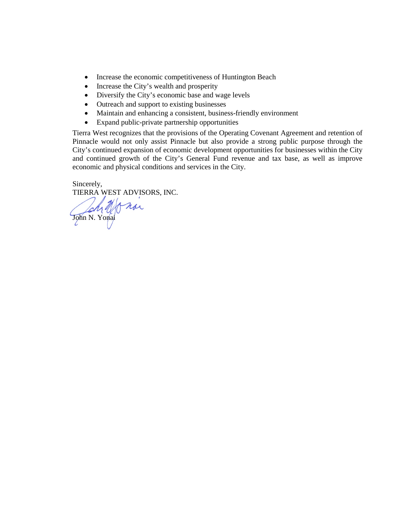- Increase the economic competitiveness of Huntington Beach
- Increase the City's wealth and prosperity
- Diversify the City's economic base and wage levels
- Outreach and support to existing businesses
- Maintain and enhancing a consistent, business-friendly environment
- Expand public-private partnership opportunities

Tierra West recognizes that the provisions of the Operating Covenant Agreement and retention of Pinnacle would not only assist Pinnacle but also provide a strong public purpose through the City's continued expansion of economic development opportunities for businesses within the City and continued growth of the City's General Fund revenue and tax base, as well as improve economic and physical conditions and services in the City.

Sincerely, TIERRA WEST ADVISORS, INC.

John N. Yonai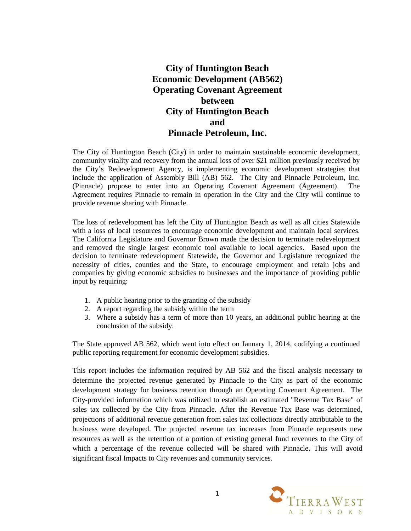# **City of Huntington Beach Economic Development (AB562) Operating Covenant Agreement between City of Huntington Beach and Pinnacle Petroleum, Inc.**

The City of Huntington Beach (City) in order to maintain sustainable economic development, community vitality and recovery from the annual loss of over \$21 million previously received by the City's Redevelopment Agency, is implementing economic development strategies that include the application of Assembly Bill (AB) 562. The City and Pinnacle Petroleum, Inc. (Pinnacle) propose to enter into an Operating Covenant Agreement (Agreement). The Agreement requires Pinnacle to remain in operation in the City and the City will continue to provide revenue sharing with Pinnacle.

The loss of redevelopment has left the City of Huntington Beach as well as all cities Statewide with a loss of local resources to encourage economic development and maintain local services. The California Legislature and Governor Brown made the decision to terminate redevelopment and removed the single largest economic tool available to local agencies. Based upon the decision to terminate redevelopment Statewide, the Governor and Legislature recognized the necessity of cities, counties and the State, to encourage employment and retain jobs and companies by giving economic subsidies to businesses and the importance of providing public input by requiring:

- 1. A public hearing prior to the granting of the subsidy
- 2. A report regarding the subsidy within the term
- 3. Where a subsidy has a term of more than 10 years, an additional public hearing at the conclusion of the subsidy.

The State approved AB 562, which went into effect on January 1, 2014, codifying a continued public reporting requirement for economic development subsidies.

This report includes the information required by AB 562 and the fiscal analysis necessary to determine the projected revenue generated by Pinnacle to the City as part of the economic development strategy for business retention through an Operating Covenant Agreement. The City-provided information which was utilized to establish an estimated "Revenue Tax Base" of sales tax collected by the City from Pinnacle. After the Revenue Tax Base was determined, projections of additional revenue generation from sales tax collections directly attributable to the business were developed. The projected revenue tax increases from Pinnacle represents new resources as well as the retention of a portion of existing general fund revenues to the City of which a percentage of the revenue collected will be shared with Pinnacle. This will avoid significant fiscal Impacts to City revenues and community services.

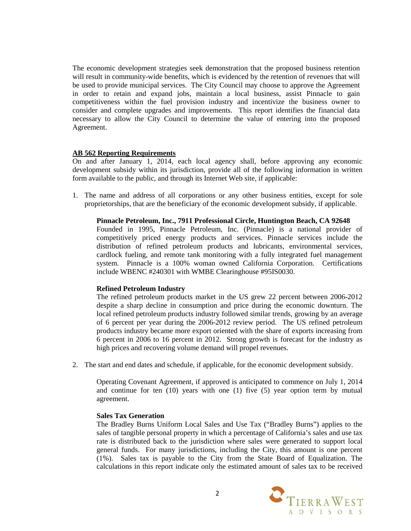The economic development strategies seek demonstration that the proposed business retention will result in community-wide benefits, which is evidenced by the retention of revenues that will be used to provide municipal services. The City Council may choose to approve the Agreement in order to retain and expand jobs, maintain a local business, assist Pinnacle to gain competitiveness within the fuel provision industry and incentivize the business owner to consider and complete upgrades and improvements. This report identifies the financial data necessary to allow the City Council to determine the value of entering into the proposed Agreement.

## **AB 562 Reporting Requirements**

On and after January 1, 2014, each local agency shall, before approving any economic development subsidy within its jurisdiction, provide all of the following information in written form available to the public, and through its Internet Web site, if applicable:

1. The name and address of all corporations or any other business entities, except for sole proprietorships, that are the beneficiary of the economic development subsidy, if applicable.

**Pinnacle Petroleum, Inc., 7911 Professional Circle, Huntington Beach, CA 92648** Founded in 1995, Pinnacle Petroleum, Inc. (Pinnacle) is a national provider of competitively priced energy products and services. Pinnacle services include the distribution of refined petroleum products and lubricants, environmental services,

# cardlock fueling, and remote tank monitoring with a fully integrated fuel management system. Pinnacle is a 100% woman owned California Corporation. Certifications include WBENC #240301 with WMBE Clearinghouse #95IS0030.

## **Refined Petroleum Industry**

The refined petroleum products market in the US grew 22 percent between 2006-2012 despite a sharp decline in consumption and price during the economic downturn. The local refined petroleum products industry followed similar trends, growing by an average of 6 percent per year during the 2006-2012 review period. The US refined petroleum products industry became more export oriented with the share of exports increasing from 6 percent in 2006 to 16 percent in 2012. Strong growth is forecast for the industry as high prices and recovering volume demand will propel revenues.

2. The start and end dates and schedule, if applicable, for the economic development subsidy.

Operating Covenant Agreement, if approved is anticipated to commence on July 1, 2014 and continue for ten (10) years with one (1) five (5) year option term by mutual agreement.

#### **Sales Tax Generation**

The Bradley Burns Uniform Local Sales and Use Tax ("Bradley Burns") applies to the sales of tangible personal property in which a percentage of California's sales and use tax rate is distributed back to the jurisdiction where sales were generated to support local general funds. For many jurisdictions, including the City, this amount is one percent (1%). Sales tax is payable to the City from the State Board of Equalization. The calculations in this report indicate only the estimated amount of sales tax to be received

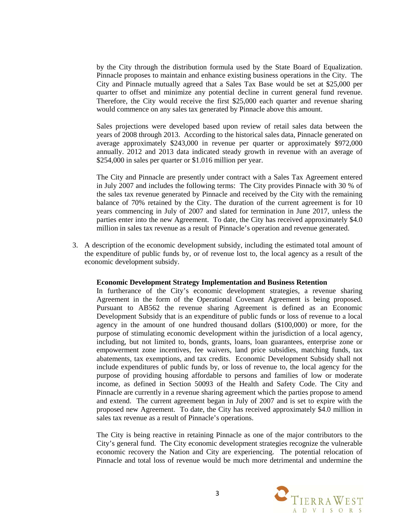by the City through the distribution formula used by the State Board of Equalization. Pinnacle proposes to maintain and enhance existing business operations in the City. The City and Pinnacle mutually agreed that a Sales Tax Base would be set at \$25,000 per quarter to offset and minimize any potential decline in current general fund revenue. Therefore, the City would receive the first \$25,000 each quarter and revenue sharing would commence on any sales tax generated by Pinnacle above this amount.

Sales projections were developed based upon review of retail sales data between the years of 2008 through 2013. According to the historical sales data, Pinnacle generated on average approximately \$243,000 in revenue per quarter or approximately \$972,000 annually. 2012 and 2013 data indicated steady growth in revenue with an average of \$254,000 in sales per quarter or \$1.016 million per year.

The City and Pinnacle are presently under contract with a Sales Tax Agreement entered in July 2007 and includes the following terms: The City provides Pinnacle with 30 % of the sales tax revenue generated by Pinnacle and received by the City with the remaining balance of 70% retained by the City. The duration of the current agreement is for 10 years commencing in July of 2007 and slated for termination in June 2017, unless the parties enter into the new Agreement. To date, the City has received approximately \$4.0 million in sales tax revenue as a result of Pinnacle's operation and revenue generated.

3. A description of the economic development subsidy, including the estimated total amount of the expenditure of public funds by, or of revenue lost to, the local agency as a result of the economic development subsidy.

#### **Economic Development Strategy Implementation and Business Retention**

In furtherance of the City's economic development strategies, a revenue sharing Agreement in the form of the Operational Covenant Agreement is being proposed. Pursuant to AB562 the revenue sharing Agreement is defined as an Economic Development Subsidy that is an expenditure of public funds or loss of revenue to a local agency in the amount of one hundred thousand dollars (\$100,000) or more, for the purpose of stimulating economic development within the jurisdiction of a local agency, including, but not limited to, bonds, grants, loans, loan guarantees, enterprise zone or empowerment zone incentives, fee waivers, land price subsidies, matching funds, tax abatements, tax exemptions, and tax credits. Economic Development Subsidy shall not include expenditures of public funds by, or loss of revenue to, the local agency for the purpose of providing housing affordable to persons and families of low or moderate income, as defined in Section 50093 of the Health and Safety Code. The City and Pinnacle are currently in a revenue sharing agreement which the parties propose to amend and extend. The current agreement began in July of 2007 and is set to expire with the proposed new Agreement. To date, the City has received approximately \$4.0 million in sales tax revenue as a result of Pinnacle's operations.

The City is being reactive in retaining Pinnacle as one of the major contributors to the City's general fund. The City economic development strategies recognize the vulnerable economic recovery the Nation and City are experiencing. The potential relocation of Pinnacle and total loss of revenue would be much more detrimental and undermine the

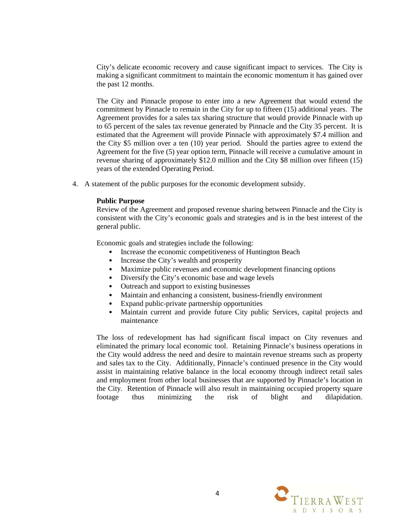City's delicate economic recovery and cause significant impact to services. The City is making a significant commitment to maintain the economic momentum it has gained over the past 12 months.

The City and Pinnacle propose to enter into a new Agreement that would extend the commitment by Pinnacle to remain in the City for up to fifteen (15) additional years. The Agreement provides for a sales tax sharing structure that would provide Pinnacle with up to 65 percent of the sales tax revenue generated by Pinnacle and the City 35 percent. It is estimated that the Agreement will provide Pinnacle with approximately \$7.4 million and the City \$5 million over a ten (10) year period. Should the parties agree to extend the Agreement for the five (5) year option term, Pinnacle will receive a cumulative amount in revenue sharing of approximately \$12.0 million and the City \$8 million over fifteen (15) years of the extended Operating Period.

4. A statement of the public purposes for the economic development subsidy.

#### **Public Purpose**

Review of the Agreement and proposed revenue sharing between Pinnacle and the City is consistent with the City's economic goals and strategies and is in the best interest of the general public.

Economic goals and strategies include the following:

- Increase the economic competitiveness of Huntington Beach
- Increase the City's wealth and prosperity
- Maximize public revenues and economic development financing options
- Diversify the City's economic base and wage levels
- Outreach and support to existing businesses
- Maintain and enhancing a consistent, business-friendly environment
- Expand public-private partnership opportunities
- Maintain current and provide future City public Services, capital projects and maintenance

The loss of redevelopment has had significant fiscal impact on City revenues and eliminated the primary local economic tool. Retaining Pinnacle's business operations in the City would address the need and desire to maintain revenue streams such as property and sales tax to the City. Additionally, Pinnacle's continued presence in the City would assist in maintaining relative balance in the local economy through indirect retail sales and employment from other local businesses that are supported by Pinnacle's location in the City. Retention of Pinnacle will also result in maintaining occupied property square footage thus minimizing the risk of blight and dilapidation.

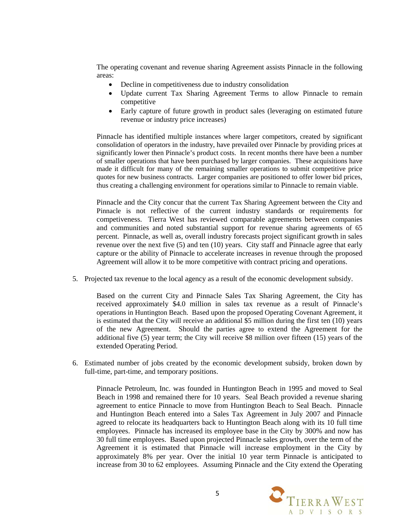The operating covenant and revenue sharing Agreement assists Pinnacle in the following areas:

- Decline in competitiveness due to industry consolidation
- Update current Tax Sharing Agreement Terms to allow Pinnacle to remain competitive
- Early capture of future growth in product sales (leveraging on estimated future revenue or industry price increases)

Pinnacle has identified multiple instances where larger competitors, created by significant consolidation of operators in the industry, have prevailed over Pinnacle by providing prices at significantly lower then Pinnacle's product costs. In recent months there have been a number of smaller operations that have been purchased by larger companies. These acquisitions have made it difficult for many of the remaining smaller operations to submit competitive price quotes for new business contracts. Larger companies are positioned to offer lower bid prices, thus creating a challenging environment for operations similar to Pinnacle to remain viable.

Pinnacle and the City concur that the current Tax Sharing Agreement between the City and Pinnacle is not reflective of the current industry standards or requirements for competiveness. Tierra West has reviewed comparable agreements between companies and communities and noted substantial support for revenue sharing agreements of 65 percent. Pinnacle, as well as, overall industry forecasts project significant growth in sales revenue over the next five (5) and ten (10) years. City staff and Pinnacle agree that early capture or the ability of Pinnacle to accelerate increases in revenue through the proposed Agreement will allow it to be more competitive with contract pricing and operations.

5. Projected tax revenue to the local agency as a result of the economic development subsidy.

Based on the current City and Pinnacle Sales Tax Sharing Agreement, the City has received approximately \$4.0 million in sales tax revenue as a result of Pinnacle's operations in Huntington Beach. Based upon the proposed Operating Covenant Agreement, it is estimated that the City will receive an additional \$5 million during the first ten (10) years of the new Agreement. Should the parties agree to extend the Agreement for the additional five (5) year term; the City will receive \$8 million over fifteen (15) years of the extended Operating Period.

6. Estimated number of jobs created by the economic development subsidy, broken down by full-time, part-time, and temporary positions.

Pinnacle Petroleum, Inc. was founded in Huntington Beach in 1995 and moved to Seal Beach in 1998 and remained there for 10 years. Seal Beach provided a revenue sharing agreement to entice Pinnacle to move from Huntington Beach to Seal Beach. Pinnacle and Huntington Beach entered into a Sales Tax Agreement in July 2007 and Pinnacle agreed to relocate its headquarters back to Huntington Beach along with its 10 full time employees. Pinnacle has increased its employee base in the City by 300% and now has 30 full time employees. Based upon projected Pinnacle sales growth, over the term of the Agreement it is estimated that Pinnacle will increase employment in the City by approximately 8% per year. Over the initial 10 year term Pinnacle is anticipated to increase from 30 to 62 employees. Assuming Pinnacle and the City extend the Operating